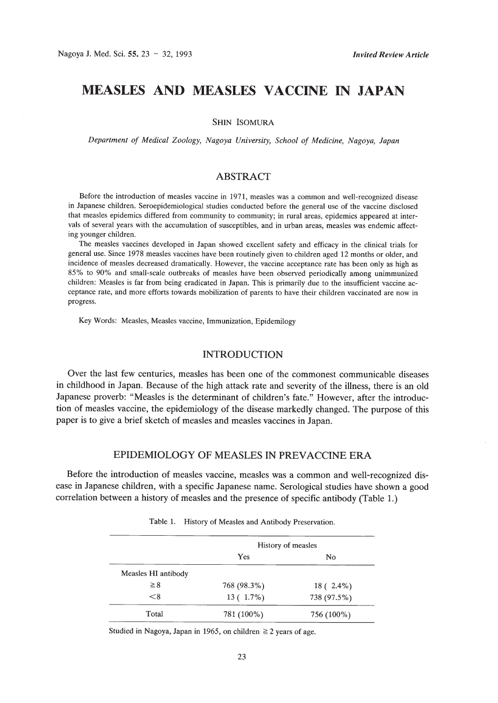# **MEASLES AND MEASLES VACCINE IN JAPAN**

SHIN ISOMURA

*Department of Medical Zoology, Nagoya University, School of Medicine, Nagoya, Japan*

## ABSTRACT

Before the introduction of measles vaccine in 1971, measles was a common and well-recognized disease in Japanese children. Seroepidemiological studies conducted before the general use of the vaccine disclosed that measles epidemics differed from community to community; in rural areas, epidemics appeared at intervals of several years with the accumulation of susceptibles, and in urban areas, measles was endemic affecting younger children.

The measles vaccines developed in Japan showed excellent safety and efficacy in the clinical trials for general use. Since 1978 measles vaccines have been routinely given to children aged 12 months or older, and incidence of measles decreased dramatically. However, the vaccine acceptance rate has been only as high as 85% to 90% and small-scale outbreaks of measles have been observed periodically among unimmunized children: Measles is far from being eradicated in Japan. This is primarily due to the insufficient vaccine acceptance rate, and more efforts towards mobilization of parents to have their children vaccinated are now in progress.

Key Words: Measles, Measles vaccine, Immunization, Epidemilogy

#### INTRODUCTION

Over the last few centuries, measles has been one of the commonest communicable diseases in childhood in Japan. Because of the high attack rate and severity of the illness, there is an old Japanese proverb: "Measles is the determinant of children's fate." However, after the introduction of measles vaccine, the epidemiology of the disease markedly changed. The purpose of this paper is to give a brief sketch of measles and measles vaccines in Japan.

# EPIDEMIOLOGY OF MEASLES IN PREVACCINE ERA

Before the introduction of measles vaccine, measles was a common and well-recognized disease in Japanese children, with a specific Japanese name. Serological studies have shown a good correlation between a history of measles and the presence of specific antibody (Table 1.)

|                     | History of measles |             |  |
|---------------------|--------------------|-------------|--|
|                     | Yes                | No          |  |
| Measles HI antibody |                    |             |  |
| $\geq 8$            | 768 (98.3%)        | $18(2.4\%)$ |  |
| < 8                 | $13(1.7\%)$        | 738 (97.5%) |  |
| Total               | 781 (100%)         | 756 (100%)  |  |

Table 1. History of Measles and Antibody Preservation.

Studied in Nagoya, Japan in 1965, on children  $\geq 2$  years of age.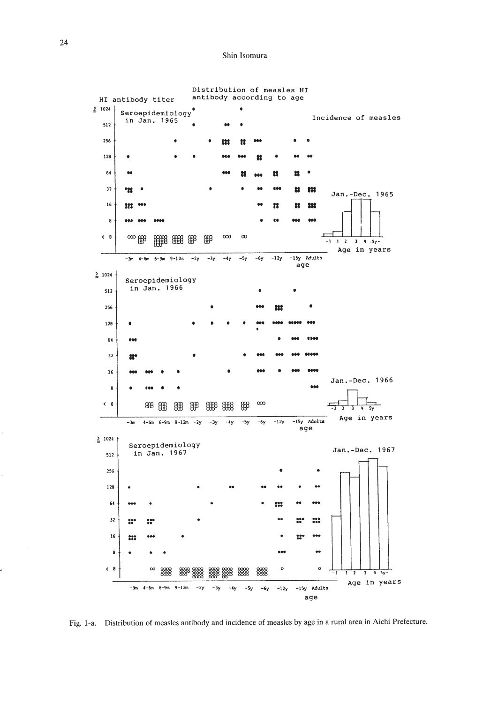Shin Isomura



Fig. I-a. Distribution of measles antibody and incidence of measles by age in a rural area in Aichi Prefecture.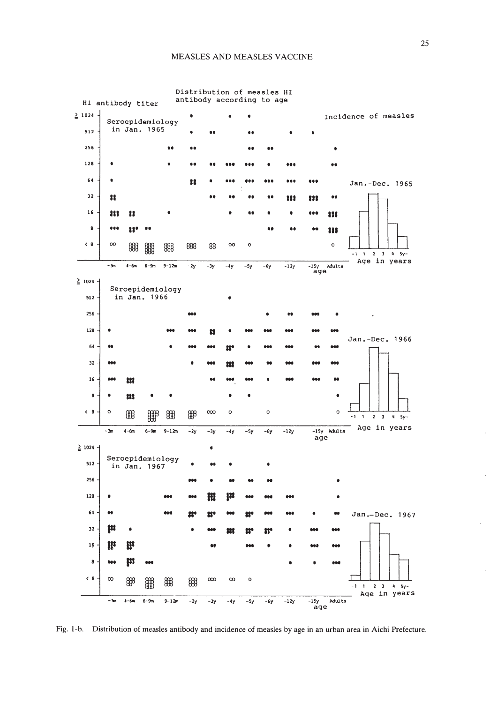

Fig. I-b. Distribution of measles antibody and incidence of measles by age in an urban area in Aichi Prefecture.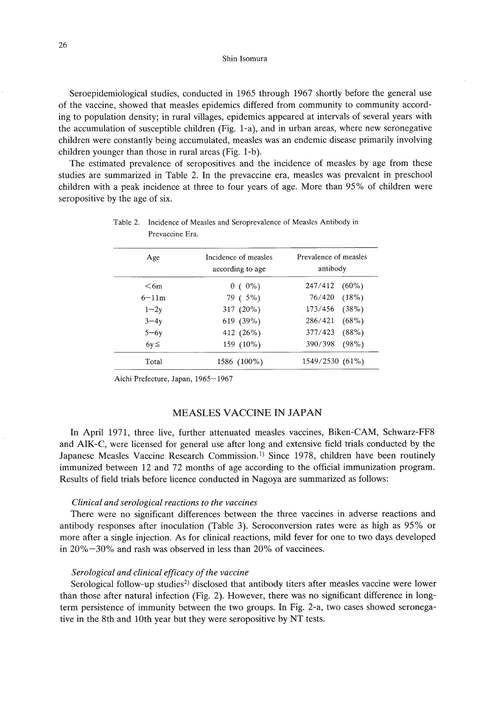Shin Isomura

Seroepidemiological studies, conducted in 1965 through 1967 shortly before the general use of the vaccine, showed that measles epidemics differed from community to community according to population density; in rural villages, epidemics appeared at intervals of several years with the accumulation of susceptible children (Fig. I-a), and in urban areas, where new seronegative children were constantly being accumulated, measles was an endemic disease primarily involving children younger than those in rural areas (Fig. I-b).

The estimated prevalence of seropositives and the incidence of measles by age from these studies are summarized in Table 2. In the prevaccine era, measles was prevalent in preschool children with a peak incidence at three to four years of age. More than 95% of children were seropositive by the age of six.

| Age       | Incidence of measles<br>according to age | Prevalence of measles<br>antibody |  |  |
|-----------|------------------------------------------|-----------------------------------|--|--|
| $<$ 6m    | $0(0\%)$                                 | 247/412<br>$(60\%)$               |  |  |
| $6 - 11m$ | 79 ( 5%)                                 | (18%)<br>76/420                   |  |  |
| $1 - 2y$  | 317 (20%)                                | 173/456<br>(38%)                  |  |  |
| $3-4y$    | 619 (39%)                                | 286/421<br>$(68\%)$               |  |  |
| $5 - 6y$  | 412 (26%)                                | 377/423<br>(88%)                  |  |  |
| $6y \leq$ | 159 (10%)                                | (98%)<br>390/398                  |  |  |
| Total     | 1586 (100%)                              | 1549/2530 (61%)                   |  |  |

Table 2. Incidence of Measles and Seroprevalence of Measles Antibody in Prevaccine Era.

Aichi Prefecture, Japan, 1965-1967

## MEASLES VACCINE IN JAPAN

In April 1971, three live, further attenuated measles vaccines, Biken-CAM, Schwarz-FF8 and AIK-C, were licensed for general use after long and extensive field trials conducted by the Japanese Measles Vaccine Research Commission.<sup>1)</sup> Since 1978, children have been routinely immunized between 12 and 72 months of age according to the official immunization program. Results of field trials before licence conducted in Nagoya are summarized as follows:

#### *Clinical and serological reactions to the vaccines*

There were no significant differences between the three vaccines in adverse reactions and antibody responses after inoculation (Table 3). Seroconversion rates were as high as 95% or more after a single injection. As for clinical reactions, mild fever for one to two days developed in 20%-30% and rash was observed in less than 20% of vaccinees.

## *Serological and clinical efficacy of the vaccine*

Serological follow-up studies<sup>2)</sup> disclosed that antibody titers after measles vaccine were lower than those after natural infection (Fig. 2). However, there was no significant difference in longterm persistence of immunity between the two groups. In Fig. 2-a, two cases showed seronegative in the 8th and 10th year but they were seropositive by NT tests.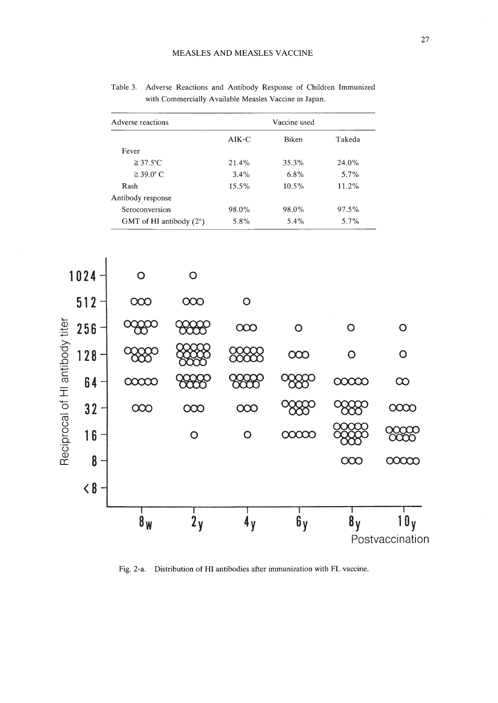|         | Vaccine used |         |
|---------|--------------|---------|
| $AIK-C$ | Biken        | Takeda  |
|         |              |         |
| 21.4%   | 35.3%        | 24.0%   |
| 3.4%    | 6.8%         | $5.7\%$ |
| 15.5%   | $10.5\%$     | 11.2%   |
|         |              |         |
| 98.0%   | 98.0%        | 97.5%   |
| 5.8%    | 5.4%         | $5.7\%$ |
|         |              |         |

Table 3. Adverse Reactions and Antibody Response of Children Immunized with Commercially Available Measles Vaccine in Japan.



Fig. 2-a. Distribution of **HI** antibodies after immunization with FL vaccine.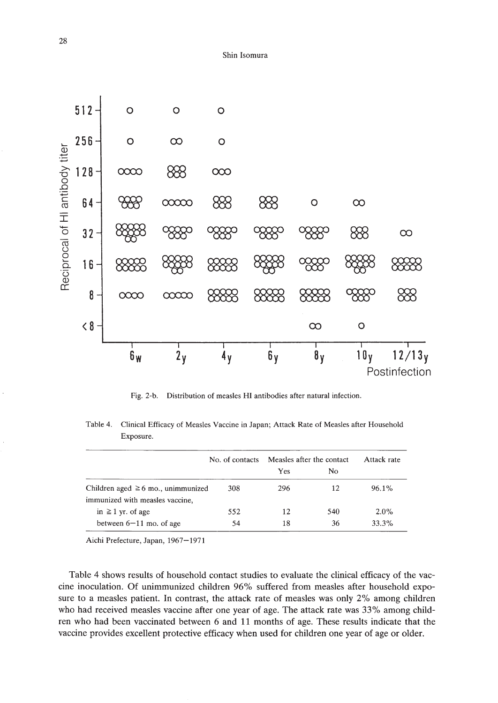

Fig. 2-b. Distribution of measles HI antibodies after natural infection.

Table 4. Clinical Efficacy of Measles Vaccine in Japan; Attack Rate of Measles after Household Exposure.

|                                         | No. of contacts | Measles after the contact |     | Attack rate |
|-----------------------------------------|-----------------|---------------------------|-----|-------------|
|                                         |                 | Yes                       | No. |             |
| Children aged $\geq 6$ mo., unimmunized | 308             | 296                       | 12  | $96.1\%$    |
| immunized with measles vaccine,         |                 |                           |     |             |
| in $\geq 1$ yr. of age                  | 552             | 12                        | 540 | $2.0\%$     |
| between $6-11$ mo. of age               | 54              | 18                        | 36  | 33.3%       |

Aichi Prefecture, Japan, 1967-1971

Table 4 shows results of household contact studies to evaluate the clinical efficacy of the vaccine inoculation. Of unimmunized children 96% suffered from measles after household exposure to a measles patient. **In** contrast, the attack rate of measles was only 2% among children who had received measles vaccine after one year of age. The attack rate was 33% among children who had been vaccinated between 6 and **11** months of age. These results indicate that the vaccine provides excellent protective efficacy when used for children one year of age or older.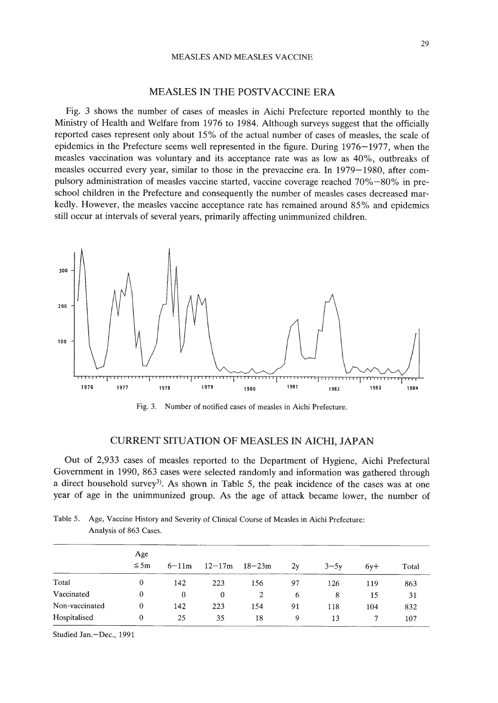#### MEASLES IN THE POSTVACCINE ERA

Fig. 3 shows the number of cases of measles in Aichi Prefecture reported monthly to the Ministry of Health and Welfare from 1976 to 1984. Although surveys suggest that the officially reported cases represent only about 15% of the actual number of cases of measles, the scale of epidemics in the Prefecture seems well represented in the figure. During 1976-1977, when the measles vaccination was voluntary and its acceptance rate was as low as 40%, outbreaks of measles occurred every year, similar to those in the prevaccine era. In 1979-1980, after compulsory administration of measles vaccine started, vaccine coverage reached 70%-80% in preschool children in the Prefecture and consequently the number of measles cases decreased markedly. However, the measles vaccine acceptance rate has remained around 85% and epidemics still occur at intervals of several years, primarily affecting unimmunized children.



Fig. 3. Number of notified cases of measles in Aichi Prefecture.

## CURRENT SITUATION OF MEASLES IN AICHI, JAPAN

Out of 2,933 cases of measles reported to the Department of Hygiene, Aichi Prefectural Government in 1990, 863 cases were selected randomly and information was gathered through a direct household survey<sup>3)</sup>. As shown in Table 5, the peak incidence of the cases was at one year of age in the unimmunized group. As the age of attack became lower, the number of

|                | Age<br>$\leq$ 5m | $6 - 11m$ | $12 - 17m$ | $18 - 23m$     | 2y | $3 - 5y$ | $6v+$ | Total |
|----------------|------------------|-----------|------------|----------------|----|----------|-------|-------|
| Total          | $\theta$         | 142       | 223        | 156            | 97 | 126      | 119   | 863   |
| Vaccinated     | $\bf{0}$         | $\bf{0}$  | $\theta$   | $\overline{c}$ | 6  | 8        | 15    | 31    |
| Non-vaccinated | $\bf{0}$         | 142       | 223        | 154            | 91 | 118      | 104   | 832   |
| Hospitalised   | 0                | 25        | 35         | 18             | 9  | 13       |       | 107   |

Table 5. Age, Vaccine History and Severity of Clinical Course of Measles in Aichi Prefecture: Analysis of 863 Cases.

Studied Jan.-Dec., 1991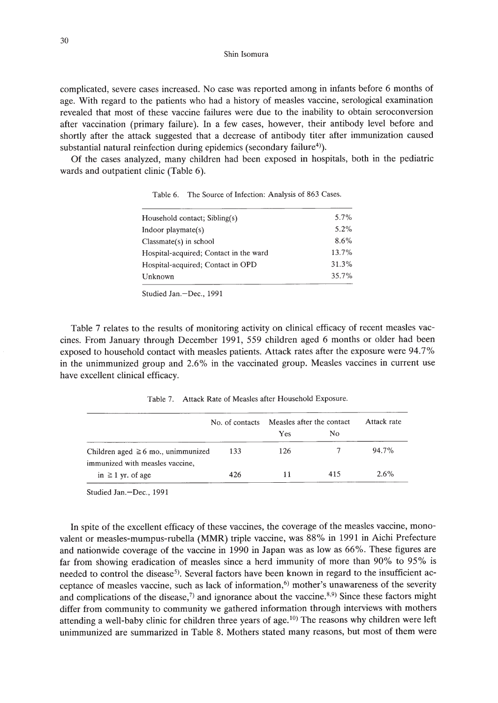Shin lsomura

complicated, severe cases increased. No case was reported among in infants before 6 months of age. With regard to the patients who had a history of measles vaccine, serological examination revealed that most of these vaccine failures were due to the inability to obtain seroconversion after vaccination (primary failure). In a few cases, however, their antibody level before and shortly after the attack suggested that a decrease of antibody titer after immunization caused substantial natural reinfection during epidemics (secondary failure<sup>4)</sup>).

Of the cases analyzed, many children had been exposed in hospitals, both in the pediatric wards and outpatient clinic (Table 6).

| Household contact; Sibling(s)          | $5.7\%$ |
|----------------------------------------|---------|
| Indoor playmate $(s)$                  | $5.2\%$ |
| $Classmate(s)$ in school               | 8.6%    |
| Hospital-acquired; Contact in the ward | 13.7%   |
| Hospital-acquired; Contact in OPD      | 31.3%   |
| Unknown                                | 35.7%   |
|                                        |         |

Table 6. The Source of Infection: Analysis of 863 Cases.

Studied Jan.-Dec., 1991

Table 7 relates to the results of monitoring activity on clinical efficacy of recent measles vaccines. From January through December 1991, 559 children aged 6 months or older had been exposed to household contact with measles patients. Attack rates after the exposure were 94.7% in the unimmunized group and 2.6% in the vaccinated group. Measles vaccines in current use have excellent clinical efficacy.

Table 7. Attack Rate of Measles after Household Exposure.

|                                                                            | No. of contacts | Measles after the contact |     | Attack rate |
|----------------------------------------------------------------------------|-----------------|---------------------------|-----|-------------|
|                                                                            |                 | <b>Yes</b>                | No  |             |
| Children aged $\geq 6$ mo., unimmunized<br>immunized with measles vaccine, | 133             | 126                       |     | $94.7\%$    |
| in $\geq 1$ yr. of age                                                     | 426             | 11                        | 415 | $2.6\%$     |

Studied Jan.-Dec., 1991

In spite of the excellent efficacy of these vaccines, the coverage of the measles vaccine, monovalent or measles-mumpus-rubella (MMR) triple vaccine, was 88% in 1991 in Aichi Prefecture and nationwide coverage of the vaccine in 1990 in Japan was as low as 66%. These figures are far from showing eradication of measles since a herd immunity of more than 90% to 95% is needed to control the disease<sup>5</sup>). Several factors have been known in regard to the insufficient acceptance of measles vaccine, such as lack of information, $6$  mother's unawareness of the severity and complications of the disease, $7$  and ignorance about the vaccine.<sup>8,9)</sup> Since these factors might differ from community to community we gathered information through interviews with mothers attending a well-baby clinic for children three years of age.<sup>10)</sup> The reasons why children were left unimmunized are summarized in Table 8. Mothers stated many reasons, but most of them were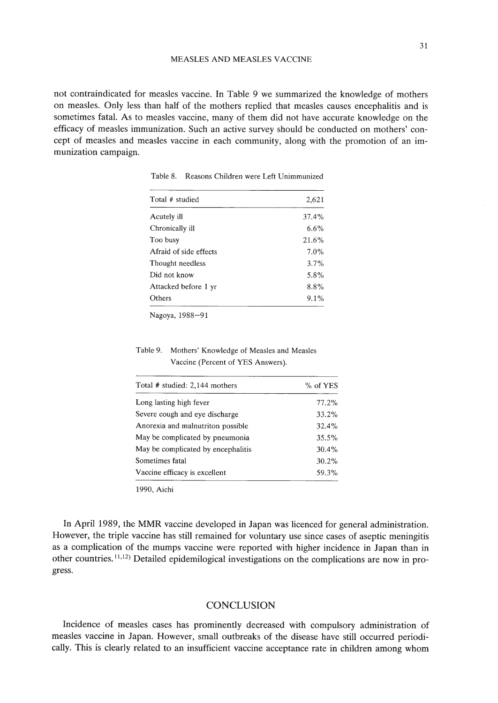not contraindicated for measles vaccine. In Table 9 we summarized the knowledge of mothers on measles. Only less than half of the mothers replied that measles causes encephalitis and is sometimes fatal. As to measles vaccine, many of them did not have accurate knowledge on the efficacy of measles immunization. Such an active survey should be conducted on mothers' concept of measles and measles vaccine in each community, along with the promotion of an immunization campaign.

| Total # studied        | 2,621   |
|------------------------|---------|
| Acutely ill            | 37.4%   |
| Chronically ill        | 6.6%    |
| Too busy               | 21.6%   |
| Afraid of side effects | 7.0%    |
| Thought needless       | $3.7\%$ |
| Did not know           | 5.8%    |
| Attacked before 1 yr   | 8.8%    |
| Others                 | 9.1%    |

Table 8. Reasons Children were Left Unimmunized

Nagoya, 1988-91

Table 9. Mothers' Knowledge of Measles and Measles Vaccine (Percent of YES Answers).

| Total # studied: 2,144 mothers     | % of YES |  |  |
|------------------------------------|----------|--|--|
| Long lasting high fever            | 77.2%    |  |  |
| Severe cough and eye discharge     | 33.2%    |  |  |
| Anorexia and malnutriton possible  | 32.4%    |  |  |
| May be complicated by pneumonia    | 35.5%    |  |  |
| May be complicated by encephalitis | $30.4\%$ |  |  |
| Sometimes fatal                    | 30.2%    |  |  |
| Vaccine efficacy is excellent      | 59.3%    |  |  |

1990, Aichi

In April 1989, the MMR vaccine developed in Japan was licenced for general administration. However, the triple vaccine has still remained for voluntary use since cases of aseptic meningitis as a complication of the mumps vaccine were reported with higher incidence in Japan than in other countries. 11,12) Detailed epidemilogical investigations on the complications are now in progress.

#### **CONCLUSION**

Incidence of measles cases has prominently decreased with compulsory administration of measles vaccine in Japan. However, small outbreaks of the disease have still occurred periodically. This is clearly related to an insufficient vaccine acceptance rate in children among whom